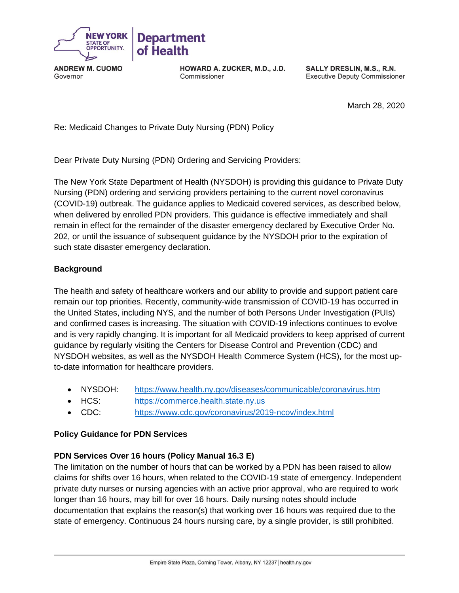

**ANDREW M. CUOMO**  Governor

**HOWARD A. ZUCKER, M.D., J.D.**  Commissioner

**SALLY DRESLIN, M.S., R.N.**  Executive Deputy Commissioner

March 28, 2020

Re: Medicaid Changes to Private Duty Nursing (PDN) Policy

Dear Private Duty Nursing (PDN) Ordering and Servicing Providers:

 The New York State Department of Health (NYSDOH) is providing this guidance to Private Duty Nursing (PDN) ordering and servicing providers pertaining to the current novel coronavirus (COVID-19) outbreak. The guidance applies to Medicaid covered services, as described below, when delivered by enrolled PDN providers. This guidance is effective immediately and shall remain in effect for the remainder of the disaster emergency declared by Executive Order No. 202, or until the issuance of subsequent guidance by the NYSDOH prior to the expiration of such state disaster emergency declaration.

## **Background**

 The health and safety of healthcare workers and our ability to provide and support patient care remain our top priorities. Recently, community-wide transmission of COVID-19 has occurred in the United States, including NYS, and the number of both Persons Under Investigation (PUIs) and confirmed cases is increasing. The situation with COVID-19 infections continues to evolve and is very rapidly changing. It is important for all Medicaid providers to keep apprised of current guidance by regularly visiting the Centers for Disease Control and Prevention (CDC) and NYSDOH websites, as well as the NYSDOH Health Commerce System (HCS), for the most up-to-date information for healthcare providers.

- NYSDOH: https://www.health.ny.gov/diseases/communicable/coronavirus.htm
- HCS: [https://commerce.health.state.ny.us](https://commerce.health.state.ny.us/)
- CDC: <https://www.cdc.gov/coronavirus/2019-ncov/index.html>

## **Policy Guidance for PDN Services**

## **PDN Services Over 16 hours (Policy Manual 16.3 E)**

 The limitation on the number of hours that can be worked by a PDN has been raised to allow claims for shifts over 16 hours, when related to the COVID-19 state of emergency. Independent private duty nurses or nursing agencies with an active prior approval, who are required to work longer than 16 hours, may bill for over 16 hours. Daily nursing notes should include documentation that explains the reason(s) that working over 16 hours was required due to the state of emergency. Continuous 24 hours nursing care, by a single provider, is still prohibited.